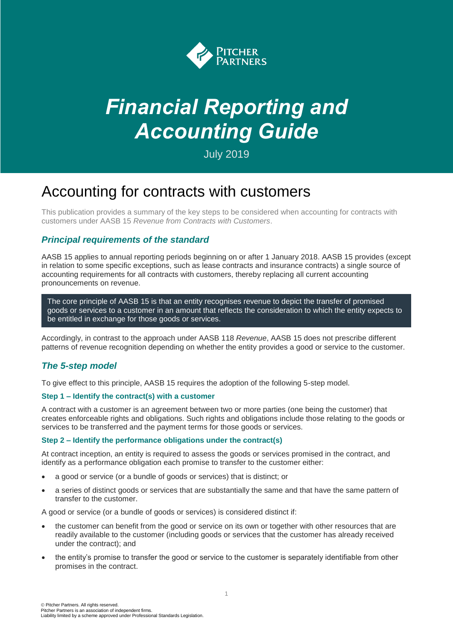

# *Financial Reporting and Accounting Guide*

July 2019

# Accounting for contracts with customers

This publication provides a summary of the key steps to be considered when accounting for contracts with customers under AASB 15 *Revenue from Contracts with Customers*.

## *Principal requirements of the standard*

AASB 15 applies to annual reporting periods beginning on or after 1 January 2018. AASB 15 provides (except in relation to some specific exceptions, such as lease contracts and insurance contracts) a single source of accounting requirements for all contracts with customers, thereby replacing all current accounting pronouncements on revenue.

The core principle of AASB 15 is that an entity recognises revenue to depict the transfer of promised goods or services to a customer in an amount that reflects the consideration to which the entity expects to be entitled in exchange for those goods or services.

Accordingly, in contrast to the approach under AASB 118 *Revenue*, AASB 15 does not prescribe different patterns of revenue recognition depending on whether the entity provides a good or service to the customer.

# *The 5-step model*

To give effect to this principle, AASB 15 requires the adoption of the following 5-step model.

### **Step 1 – Identify the contract(s) with a customer**

A contract with a customer is an agreement between two or more parties (one being the customer) that creates enforceable rights and obligations. Such rights and obligations include those relating to the goods or services to be transferred and the payment terms for those goods or services.

#### **Step 2 – Identify the performance obligations under the contract(s)**

At contract inception, an entity is required to assess the goods or services promised in the contract, and identify as a performance obligation each promise to transfer to the customer either:

- a good or service (or a bundle of goods or services) that is distinct; or
- a series of distinct goods or services that are substantially the same and that have the same pattern of transfer to the customer.

A good or service (or a bundle of goods or services) is considered distinct if:

- the customer can benefit from the good or service on its own or together with other resources that are readily available to the customer (including goods or services that the customer has already received under the contract); and
- the entity's promise to transfer the good or service to the customer is separately identifiable from other promises in the contract.